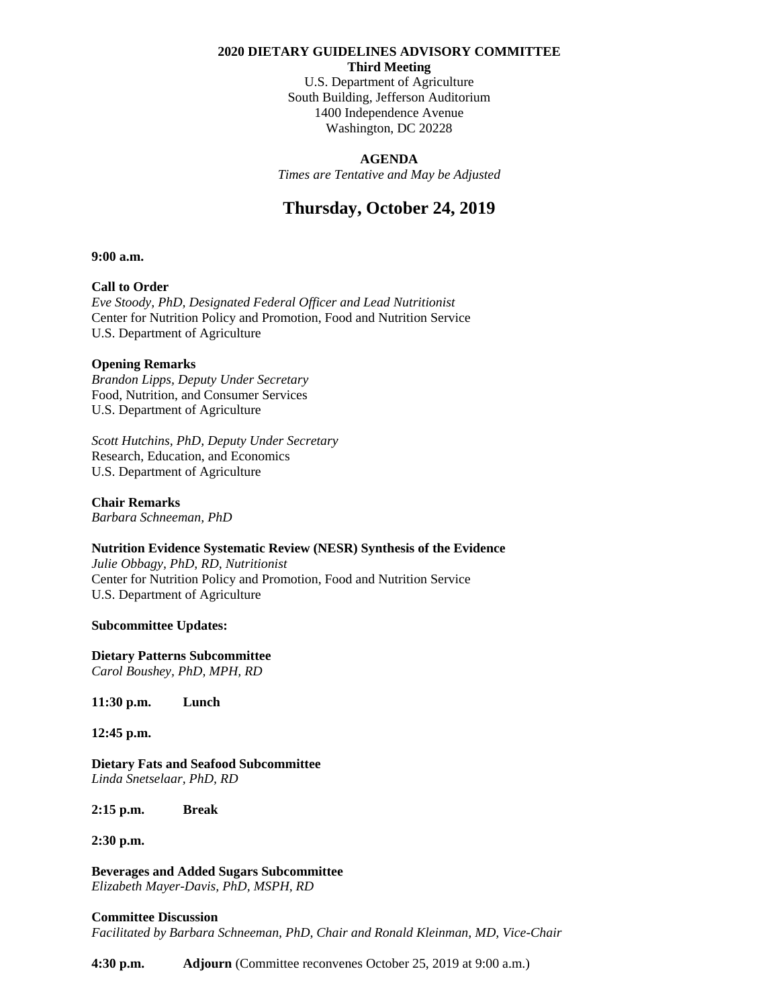#### **2020 DIETARY GUIDELINES ADVISORY COMMITTEE**

**Third Meeting**

U.S. Department of Agriculture South Building, Jefferson Auditorium 1400 Independence Avenue Washington, DC 20228

#### **AGENDA**

*Times are Tentative and May be Adjusted* 

# **Thursday, October 24, 2019**

**9:00 a.m.**

## **Call to Order**

*Eve Stoody, PhD, Designated Federal Officer and Lead Nutritionist*  Center for Nutrition Policy and Promotion, Food and Nutrition Service U.S. Department of Agriculture

#### **Opening Remarks**

*Brandon Lipps, Deputy Under Secretary* Food, Nutrition, and Consumer Services U.S. Department of Agriculture

*Scott Hutchins, PhD, Deputy Under Secretary*  Research, Education, and Economics U.S. Department of Agriculture

**Chair Remarks**  *Barbara Schneeman, PhD*

## **Nutrition Evidence Systematic Review (NESR) Synthesis of the Evidence**

*Julie Obbagy, PhD, RD, Nutritionist* Center for Nutrition Policy and Promotion, Food and Nutrition Service U.S. Department of Agriculture

## **Subcommittee Updates:**

**Dietary Patterns Subcommittee** *Carol Boushey, PhD, MPH, RD*

**11:30 p.m. Lunch**

**12:45 p.m.**

**Dietary Fats and Seafood Subcommittee** *Linda Snetselaar, PhD, RD*

**2:15 p.m. Break**

**2:30 p.m.**

**Beverages and Added Sugars Subcommittee** *Elizabeth Mayer-Davis, PhD, MSPH, RD*

#### **Committee Discussion**

*Facilitated by Barbara Schneeman, PhD, Chair and Ronald Kleinman, MD, Vice-Chair*

**4:30 p.m. Adjourn** (Committee reconvenes October 25, 2019 at 9:00 a.m.)